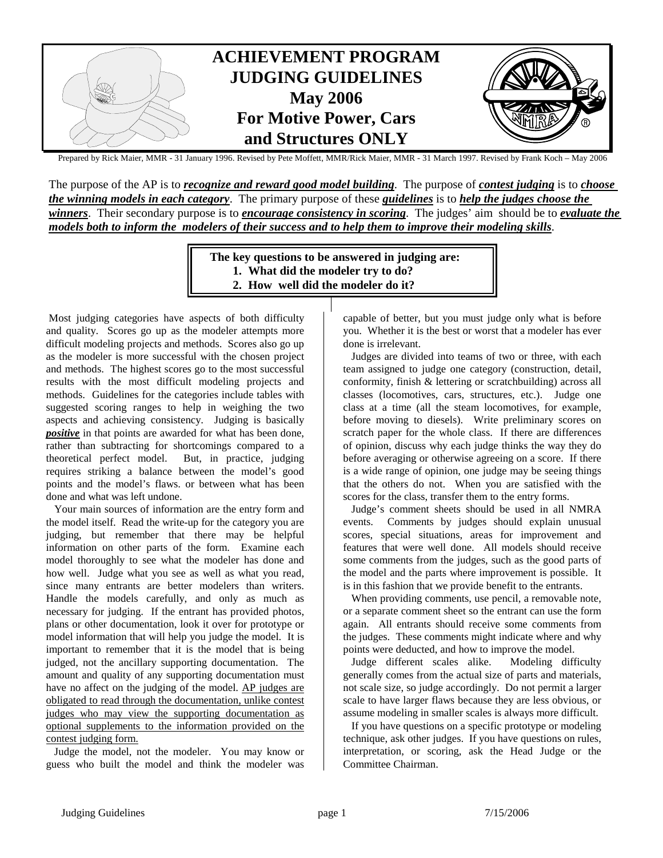

Prepared by Rick Maier, MMR - 31 January 1996. Revised by Pete Moffett, MMR/Rick Maier, MMR - 31 March 1997. Revised by Frank Koch – May 2006

The purpose of the AP is to *recognize and reward good model building*. The purpose of *contest judging* is to *choose the winning models in each category*. The primary purpose of these *guidelines* is to *help the judges choose the winners*. Their secondary purpose is to *encourage consistency in scoring*. The judges' aim should be to *evaluate the models both to inform the modelers of their success and to help them to improve their modeling skills*.

> **The key questions to be answered in judging are: 1. What did the modeler try to do? 2. How well did the modeler do it?**

 Most judging categories have aspects of both difficulty and quality. Scores go up as the modeler attempts more difficult modeling projects and methods. Scores also go up as the modeler is more successful with the chosen project and methods. The highest scores go to the most successful results with the most difficult modeling projects and methods. Guidelines for the categories include tables with suggested scoring ranges to help in weighing the two aspects and achieving consistency. Judging is basically *positive* in that points are awarded for what has been done, rather than subtracting for shortcomings compared to a theoretical perfect model. But, in practice, judging requires striking a balance between the model's good points and the model's flaws. or between what has been done and what was left undone.

 Your main sources of information are the entry form and the model itself. Read the write-up for the category you are judging, but remember that there may be helpful information on other parts of the form. Examine each model thoroughly to see what the modeler has done and how well. Judge what you see as well as what you read, since many entrants are better modelers than writers. Handle the models carefully, and only as much as necessary for judging. If the entrant has provided photos, plans or other documentation, look it over for prototype or model information that will help you judge the model. It is important to remember that it is the model that is being judged, not the ancillary supporting documentation. The amount and quality of any supporting documentation must have no affect on the judging of the model. AP judges are obligated to read through the documentation, unlike contest judges who may view the supporting documentation as optional supplements to the information provided on the contest judging form.

 Judge the model, not the modeler. You may know or guess who built the model and think the modeler was

capable of better, but you must judge only what is before you. Whether it is the best or worst that a modeler has ever done is irrelevant.

 Judges are divided into teams of two or three, with each team assigned to judge one category (construction, detail, conformity, finish & lettering or scratchbuilding) across all classes (locomotives, cars, structures, etc.). Judge one class at a time (all the steam locomotives, for example, before moving to diesels). Write preliminary scores on scratch paper for the whole class. If there are differences of opinion, discuss why each judge thinks the way they do before averaging or otherwise agreeing on a score. If there is a wide range of opinion, one judge may be seeing things that the others do not. When you are satisfied with the scores for the class, transfer them to the entry forms.

 Judge's comment sheets should be used in all NMRA events. Comments by judges should explain unusual scores, special situations, areas for improvement and features that were well done. All models should receive some comments from the judges, such as the good parts of the model and the parts where improvement is possible. It is in this fashion that we provide benefit to the entrants.

 When providing comments, use pencil, a removable note, or a separate comment sheet so the entrant can use the form again. All entrants should receive some comments from the judges. These comments might indicate where and why points were deducted, and how to improve the model.

 Judge different scales alike. Modeling difficulty generally comes from the actual size of parts and materials, not scale size, so judge accordingly. Do not permit a larger scale to have larger flaws because they are less obvious, or assume modeling in smaller scales is always more difficult.

 If you have questions on a specific prototype or modeling technique, ask other judges. If you have questions on rules, interpretation, or scoring, ask the Head Judge or the Committee Chairman.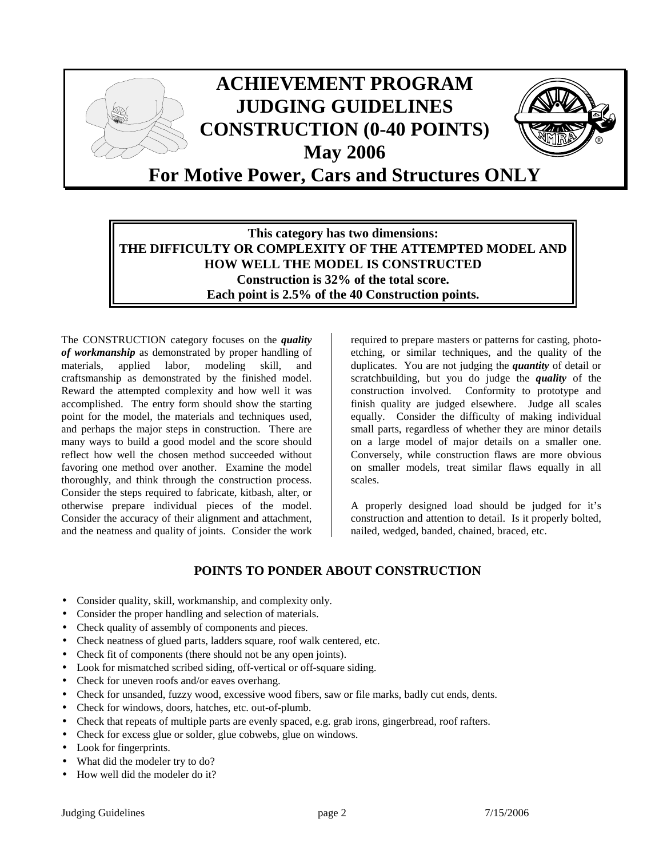

# **This category has two dimensions: THE DIFFICULTY OR COMPLEXITY OF THE ATTEMPTED MODEL AND HOW WELL THE MODEL IS CONSTRUCTED Construction is 32% of the total score. Each point is 2.5% of the 40 Construction points.**

The CONSTRUCTION category focuses on the *quality of workmanship* as demonstrated by proper handling of materials, applied labor, modeling skill, and craftsmanship as demonstrated by the finished model. Reward the attempted complexity and how well it was accomplished. The entry form should show the starting point for the model, the materials and techniques used, and perhaps the major steps in construction. There are many ways to build a good model and the score should reflect how well the chosen method succeeded without favoring one method over another. Examine the model thoroughly, and think through the construction process. Consider the steps required to fabricate, kitbash, alter, or otherwise prepare individual pieces of the model. Consider the accuracy of their alignment and attachment, and the neatness and quality of joints. Consider the work

required to prepare masters or patterns for casting, photoetching, or similar techniques, and the quality of the duplicates. You are not judging the *quantity* of detail or scratchbuilding, but you do judge the *quality* of the construction involved. Conformity to prototype and finish quality are judged elsewhere. Judge all scales equally. Consider the difficulty of making individual small parts, regardless of whether they are minor details on a large model of major details on a smaller one. Conversely, while construction flaws are more obvious on smaller models, treat similar flaws equally in all scales.

A properly designed load should be judged for it's construction and attention to detail. Is it properly bolted, nailed, wedged, banded, chained, braced, etc.

## **POINTS TO PONDER ABOUT CONSTRUCTION**

- Consider quality, skill, workmanship, and complexity only.
- Consider the proper handling and selection of materials.
- Check quality of assembly of components and pieces.
- Check neatness of glued parts, ladders square, roof walk centered, etc.
- Check fit of components (there should not be any open joints).
- Look for mismatched scribed siding, off-vertical or off-square siding.
- Check for uneven roofs and/or eaves overhang.
- Check for unsanded, fuzzy wood, excessive wood fibers, saw or file marks, badly cut ends, dents.
- Check for windows, doors, hatches, etc. out-of-plumb.
- Check that repeats of multiple parts are evenly spaced, e.g. grab irons, gingerbread, roof rafters.
- Check for excess glue or solder, glue cobwebs, glue on windows.
- Look for fingerprints.
- What did the modeler try to do?
- How well did the modeler do it?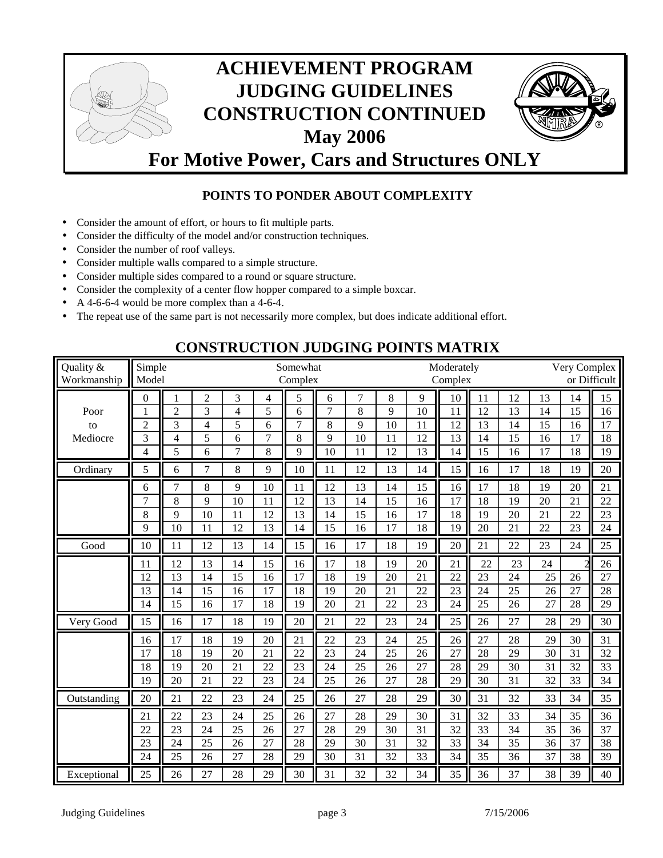

# **POINTS TO PONDER ABOUT COMPLEXITY**

- Consider the amount of effort, or hours to fit multiple parts.
- Consider the difficulty of the model and/or construction techniques.
- Consider the number of roof valleys.
- Consider multiple walls compared to a simple structure.
- Consider multiple sides compared to a round or square structure.
- Consider the complexity of a center flow hopper compared to a simple boxcar.
- A 4-6-6-4 would be more complex than a 4-6-4.
- The repeat use of the same part is not necessarily more complex, but does indicate additional effort.

| Quality &<br>Workmanship           | Simple<br>Model                                                          |                                                                                        |                                                                                                       |                                                                 |                                                                            | Somewhat<br>Complex                     |                                                       |                                           |                                            |                                             | Moderately<br>Complex                          |                                              |                                              |                                              | Very Complex                                 | or Difficult                                 |
|------------------------------------|--------------------------------------------------------------------------|----------------------------------------------------------------------------------------|-------------------------------------------------------------------------------------------------------|-----------------------------------------------------------------|----------------------------------------------------------------------------|-----------------------------------------|-------------------------------------------------------|-------------------------------------------|--------------------------------------------|---------------------------------------------|------------------------------------------------|----------------------------------------------|----------------------------------------------|----------------------------------------------|----------------------------------------------|----------------------------------------------|
| Poor<br>to<br>Mediocre<br>Ordinary | $\boldsymbol{0}$<br>$\overline{c}$<br>$\overline{3}$<br>4<br>5<br>6<br>7 | $\mathbf{1}$<br>$\overline{c}$<br>3<br>$\overline{4}$<br>5<br>6<br>$\overline{7}$<br>8 | $\overline{2}$<br>$\overline{3}$<br>$\overline{4}$<br>$\overline{5}$<br>6<br>$\overline{7}$<br>8<br>9 | 3<br>$\overline{4}$<br>5<br>6<br>$\overline{7}$<br>8<br>9<br>10 | $\overline{\mathcal{L}}$<br>5<br>6<br>$\overline{7}$<br>8<br>9<br>10<br>11 | 5<br>6<br>7<br>8<br>9<br>10<br>11<br>12 | 6<br>$\overline{7}$<br>8<br>9<br>10<br>11<br>12<br>13 | 7<br>8<br>9<br>10<br>11<br>12<br>13<br>14 | 8<br>9<br>10<br>11<br>12<br>13<br>14<br>15 | 9<br>10<br>11<br>12<br>13<br>14<br>15<br>16 | 10<br>11<br>12<br>13<br>14<br>15<br>16<br>17   | 11<br>12<br>13<br>14<br>15<br>16<br>17<br>18 | 12<br>13<br>14<br>15<br>16<br>17<br>18<br>19 | 13<br>14<br>15<br>16<br>17<br>18<br>19<br>20 | 14<br>15<br>16<br>17<br>18<br>19<br>20<br>21 | 15<br>16<br>17<br>18<br>19<br>20<br>21<br>22 |
|                                    | 8<br>9                                                                   | 9<br>10                                                                                | 10<br>11                                                                                              | 11<br>12                                                        | 12<br>13                                                                   | 13<br>14                                | 14<br>15                                              | 15<br>16                                  | 16<br>17                                   | 17<br>18                                    | 18<br>19                                       | 19<br>20                                     | 20<br>21                                     | 21<br>22                                     | 22<br>23                                     | 23<br>24                                     |
| Good                               | 10                                                                       | 11                                                                                     | 12                                                                                                    | 13                                                              | 14                                                                         | 15                                      | 16                                                    | 17                                        | 18                                         | 19                                          | 20                                             | 21                                           | 22                                           | 23                                           | 24                                           | 25                                           |
|                                    | 11<br>12<br>13<br>14                                                     | 12<br>13<br>14<br>15                                                                   | 13<br>14<br>15<br>16                                                                                  | 14<br>15<br>16<br>17                                            | 15<br>16<br>17<br>18                                                       | 16<br>17<br>18<br>19                    | 17<br>18<br>19<br>20                                  | 18<br>19<br>20<br>21                      | 19<br>20<br>21<br>22                       | 20<br>21<br>22<br>23                        | 21<br>22<br>$\overline{23}$<br>24              | 22<br>23<br>24<br>25                         | 23<br>24<br>25<br>26                         | 24<br>25<br>26<br>27                         | 26<br>27<br>28                               | 26<br>27<br>28<br>29                         |
| Very Good                          | 15                                                                       | 16                                                                                     | 17                                                                                                    | 18                                                              | 19                                                                         | 20                                      | 21                                                    | 22                                        | 23                                         | 24                                          | 25                                             | 26                                           | 27                                           | 28                                           | 29                                           | 30                                           |
|                                    | 16<br>17<br>18<br>19                                                     | 17<br>18<br>19<br>20                                                                   | 18<br>19<br>20<br>21                                                                                  | 19<br>20<br>21<br>22                                            | 20<br>21<br>22<br>23                                                       | 21<br>22<br>23<br>24                    | 22<br>23<br>24<br>25                                  | 23<br>24<br>25<br>26                      | 24<br>25<br>26<br>27                       | 25<br>26<br>27<br>28                        | 26<br>$\overline{27}$<br>28<br>29              | 27<br>28<br>29<br>30                         | 28<br>29<br>30<br>31                         | 29<br>30<br>31<br>32                         | 30<br>31<br>32<br>33                         | 31<br>32<br>33<br>34                         |
| Outstanding                        | 20                                                                       | 21                                                                                     | 22                                                                                                    | 23                                                              | 24                                                                         | 25                                      | 26                                                    | 27                                        | 28                                         | 29                                          | 30                                             | 31                                           | 32                                           | 33                                           | 34                                           | 35                                           |
|                                    | 21<br>22<br>23<br>24                                                     | 22<br>23<br>24<br>25                                                                   | 23<br>24<br>25<br>26                                                                                  | 24<br>25<br>26<br>27                                            | 25<br>26<br>27<br>28                                                       | 26<br>27<br>28<br>29                    | 27<br>28<br>29<br>30                                  | 28<br>29<br>30<br>31                      | 29<br>30<br>31<br>32                       | 30<br>31<br>32<br>33                        | 31<br>$\overline{32}$<br>33<br>$\overline{34}$ | 32<br>33<br>34<br>35                         | 33<br>34<br>35<br>36                         | 34<br>35<br>36<br>37                         | 35<br>36<br>37<br>38                         | 36<br>37<br>38<br>39                         |
| Exceptional                        | 25                                                                       | 26                                                                                     | 27                                                                                                    | 28                                                              | 29                                                                         | 30                                      | 31                                                    | 32                                        | 32                                         | 34                                          | 35                                             | 36                                           | 37                                           | 38                                           | 39                                           | 40                                           |

# **CONSTRUCTION JUDGING POINTS MATRIX**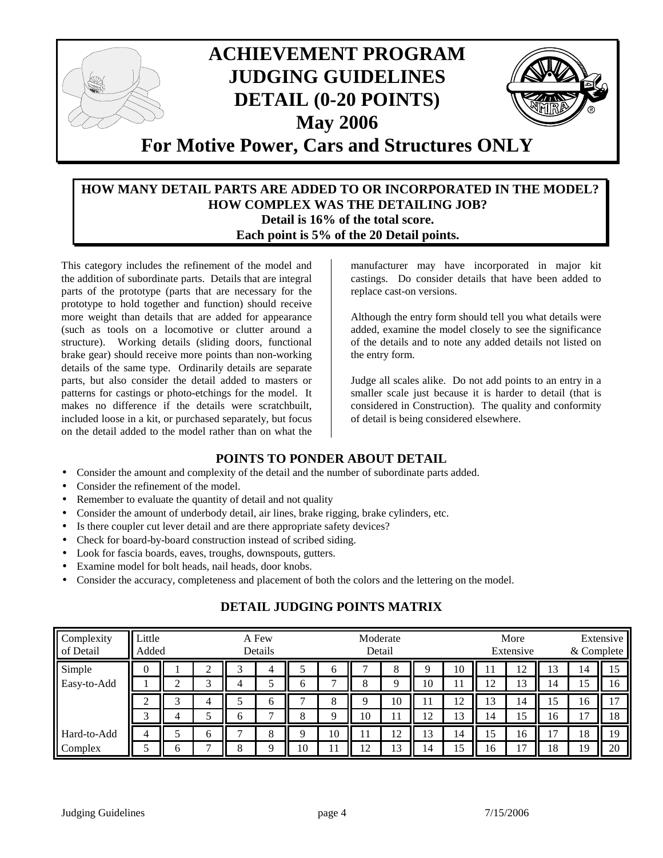

#### **HOW MANY DETAIL PARTS ARE ADDED TO OR INCORPORATED IN THE MODEL? HOW COMPLEX WAS THE DETAILING JOB? Detail is 16% of the total score. Each point is 5% of the 20 Detail points.**

This category includes the refinement of the model and the addition of subordinate parts. Details that are integral parts of the prototype (parts that are necessary for the prototype to hold together and function) should receive more weight than details that are added for appearance (such as tools on a locomotive or clutter around a structure). Working details (sliding doors, functional brake gear) should receive more points than non-working details of the same type. Ordinarily details are separate parts, but also consider the detail added to masters or patterns for castings or photo-etchings for the model. It makes no difference if the details were scratchbuilt, included loose in a kit, or purchased separately, but focus on the detail added to the model rather than on what the

manufacturer may have incorporated in major kit castings. Do consider details that have been added to replace cast-on versions.

Although the entry form should tell you what details were added, examine the model closely to see the significance of the details and to note any added details not listed on the entry form.

Judge all scales alike. Do not add points to an entry in a smaller scale just because it is harder to detail (that is considered in Construction). The quality and conformity of detail is being considered elsewhere.

## **POINTS TO PONDER ABOUT DETAIL**

- Consider the amount and complexity of the detail and the number of subordinate parts added.
- Consider the refinement of the model.
- Remember to evaluate the quantity of detail and not quality
- Consider the amount of underbody detail, air lines, brake rigging, brake cylinders, etc.
- Is there coupler cut lever detail and are there appropriate safety devices?
- Check for board-by-board construction instead of scribed siding.
- Look for fascia boards, eaves, troughs, downspouts, gutters.
- Examine model for bolt heads, nail heads, door knobs.
- Consider the accuracy, completeness and placement of both the colors and the lettering on the model.

# **DETAIL JUDGING POINTS MATRIX**

| Complexity<br>of Detail | Little<br>Added |  |   | A Few<br>Details |              |    |              | Moderate | Detail   |    |         |          | More<br>Extensive | Extensive<br>& Complete |    |    |
|-------------------------|-----------------|--|---|------------------|--------------|----|--------------|----------|----------|----|---------|----------|-------------------|-------------------------|----|----|
| Simple                  | U               |  |   |                  | 4            |    | 6            |          | 8        |    | 10      | 11       | 12                | 13                      | 14 | 15 |
| Easy-to-Add             |                 |  | ⌒ |                  |              | 6  | $\mathbf{r}$ | 8        | $\Omega$ | 10 | 11      | ר ו<br>┸ | 13                | 14                      | 15 | 16 |
|                         |                 |  |   |                  | 6            |    | 8            |          | 10       | 11 | 12<br>┸ | 13       | 14                | 15                      | 16 | 15 |
|                         |                 |  |   | b                | $\mathbf{r}$ | 8  | Q            | 10       | 11       | 12 | 13      | 14       | 15                | 16                      |    | 18 |
| Hard-to-Add             |                 |  | რ |                  | 8            | u  | 10           | 11       | 12       | 13 | 14      | 15       | 16                |                         | 18 | 19 |
| Complex                 |                 |  |   | $\circ$          | Q            | 10 | 11           | 12       | 13       | 14 | 15      | 16       | רו                | 18                      | 19 | 20 |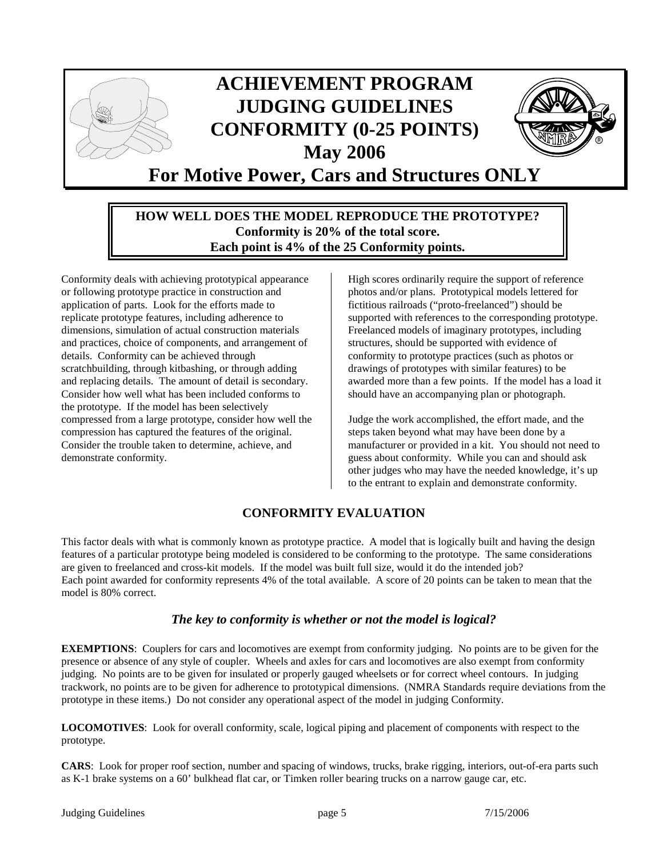

#### **HOW WELL DOES THE MODEL REPRODUCE THE PROTOTYPE? Conformity is 20% of the total score. Each point is 4% of the 25 Conformity points.**

Conformity deals with achieving prototypical appearance or following prototype practice in construction and application of parts. Look for the efforts made to replicate prototype features, including adherence to dimensions, simulation of actual construction materials and practices, choice of components, and arrangement of details. Conformity can be achieved through scratchbuilding, through kitbashing, or through adding and replacing details. The amount of detail is secondary. Consider how well what has been included conforms to the prototype. If the model has been selectively compressed from a large prototype, consider how well the compression has captured the features of the original. Consider the trouble taken to determine, achieve, and demonstrate conformity.

High scores ordinarily require the support of reference photos and/or plans. Prototypical models lettered for fictitious railroads ("proto-freelanced") should be supported with references to the corresponding prototype. Freelanced models of imaginary prototypes, including structures, should be supported with evidence of conformity to prototype practices (such as photos or drawings of prototypes with similar features) to be awarded more than a few points. If the model has a load it should have an accompanying plan or photograph.

Judge the work accomplished, the effort made, and the steps taken beyond what may have been done by a manufacturer or provided in a kit. You should not need to guess about conformity. While you can and should ask other judges who may have the needed knowledge, it's up to the entrant to explain and demonstrate conformity.

# **CONFORMITY EVALUATION**

This factor deals with what is commonly known as prototype practice. A model that is logically built and having the design features of a particular prototype being modeled is considered to be conforming to the prototype. The same considerations are given to freelanced and cross-kit models. If the model was built full size, would it do the intended job? Each point awarded for conformity represents 4% of the total available. A score of 20 points can be taken to mean that the model is 80% correct.

## *The key to conformity is whether or not the model is logical?*

**EXEMPTIONS**: Couplers for cars and locomotives are exempt from conformity judging. No points are to be given for the presence or absence of any style of coupler. Wheels and axles for cars and locomotives are also exempt from conformity judging. No points are to be given for insulated or properly gauged wheelsets or for correct wheel contours. In judging trackwork, no points are to be given for adherence to prototypical dimensions. (NMRA Standards require deviations from the prototype in these items.) Do not consider any operational aspect of the model in judging Conformity.

**LOCOMOTIVES**: Look for overall conformity, scale, logical piping and placement of components with respect to the prototype.

**CARS**: Look for proper roof section, number and spacing of windows, trucks, brake rigging, interiors, out-of-era parts such as K-1 brake systems on a 60' bulkhead flat car, or Timken roller bearing trucks on a narrow gauge car, etc.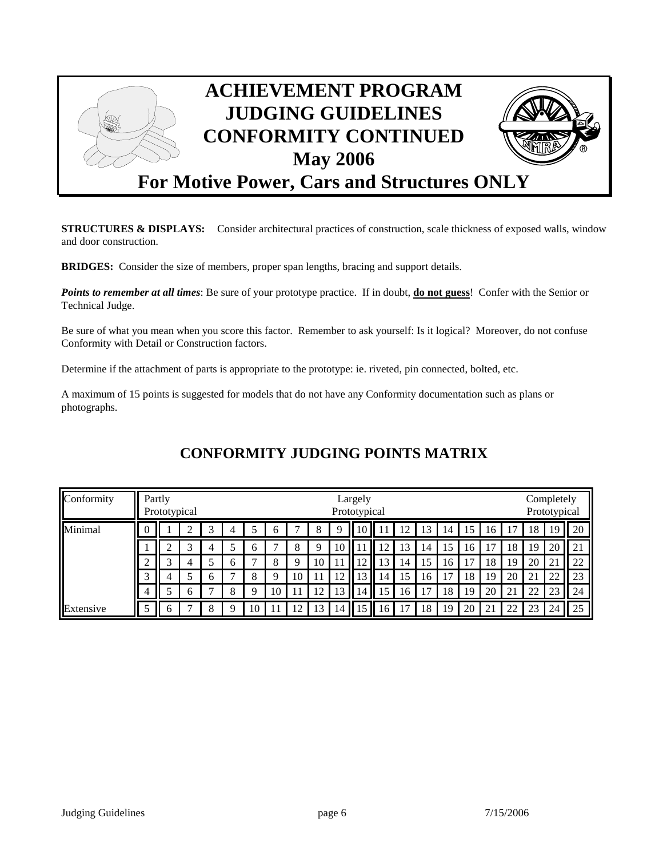

**STRUCTURES & DISPLAYS:** Consider architectural practices of construction, scale thickness of exposed walls, window and door construction.

**BRIDGES:** Consider the size of members, proper span lengths, bracing and support details.

*Points to remember at all times*: Be sure of your prototype practice. If in doubt, **do not guess**! Confer with the Senior or Technical Judge.

Be sure of what you mean when you score this factor. Remember to ask yourself: Is it logical? Moreover, do not confuse Conformity with Detail or Construction factors.

Determine if the attachment of parts is appropriate to the prototype: ie. riveted, pin connected, bolted, etc.

A maximum of 15 points is suggested for models that do not have any Conformity documentation such as plans or photographs.

| Conformity | Partly<br>Prototypical |   |   |   |   |    |    | Largely<br>Prototypical |    |                |      |     |    |    |    |                |    | Completely<br>Prototypical |    |                     |    |
|------------|------------------------|---|---|---|---|----|----|-------------------------|----|----------------|------|-----|----|----|----|----------------|----|----------------------------|----|---------------------|----|
| Minimal    | $\theta$               |   |   |   | 4 |    | O  |                         | 8  |                | 10 I |     | 12 | 13 | 14 | 15             | 16 |                            | 18 | 19                  | 20 |
|            |                        |   | ⌒ | 4 |   | h  | −  | 8                       | 9  | 10             |      | . ೧ | 13 | 14 | 15 | 16             | 17 | 18                         | 19 | 20                  | 21 |
|            | ◠<br>∠                 | ⌒ | 4 |   | b |    | 8  | Q                       | 10 |                | 12   | 13  | 14 | 15 | 16 | $\overline{ }$ | 18 | 19                         | 20 | ↑<br>$\overline{a}$ | 22 |
|            | 3                      |   |   | h | ⇁ | Õ  | 9  | 10                      | 11 |                | 13   | 14  | 15 | 16 | 17 | 18             | 19 | 20                         | 21 | 22                  | 23 |
|            | 4                      |   | h |   | 8 | Q  | 10 |                         | 12 | 13             | 14   | 15  | 16 | −  | 18 | 19             | 20 | $\bigcap$ 1<br>∠⊥          | 22 | 23                  | 24 |
| Extensive  | 5                      | h |   | 8 | Q | 10 |    | $1^{\circ}$             | 13 | $\overline{4}$ |      | 16  | 7  | 18 | 19 | 20             | 21 | 22                         | 23 | 24                  | 25 |

# **CONFORMITY JUDGING POINTS MATRIX**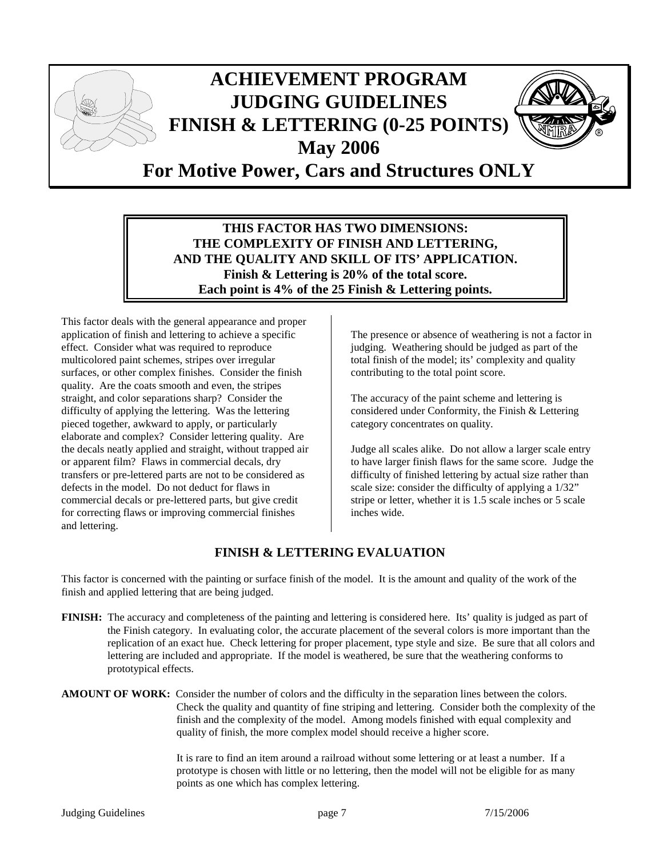

## **THIS FACTOR HAS TWO DIMENSIONS: THE COMPLEXITY OF FINISH AND LETTERING, AND THE QUALITY AND SKILL OF ITS' APPLICATION. Finish & Lettering is 20% of the total score. Each point is 4% of the 25 Finish & Lettering points.**

This factor deals with the general appearance and proper application of finish and lettering to achieve a specific effect. Consider what was required to reproduce multicolored paint schemes, stripes over irregular surfaces, or other complex finishes. Consider the finish quality. Are the coats smooth and even, the stripes straight, and color separations sharp? Consider the difficulty of applying the lettering. Was the lettering pieced together, awkward to apply, or particularly elaborate and complex? Consider lettering quality. Are the decals neatly applied and straight, without trapped air or apparent film? Flaws in commercial decals, dry transfers or pre-lettered parts are not to be considered as defects in the model. Do not deduct for flaws in commercial decals or pre-lettered parts, but give credit for correcting flaws or improving commercial finishes and lettering.

The presence or absence of weathering is not a factor in judging. Weathering should be judged as part of the total finish of the model; its' complexity and quality contributing to the total point score.

The accuracy of the paint scheme and lettering is considered under Conformity, the Finish & Lettering category concentrates on quality.

Judge all scales alike. Do not allow a larger scale entry to have larger finish flaws for the same score. Judge the difficulty of finished lettering by actual size rather than scale size: consider the difficulty of applying a 1/32" stripe or letter, whether it is 1.5 scale inches or 5 scale inches wide.

# **FINISH & LETTERING EVALUATION**

This factor is concerned with the painting or surface finish of the model. It is the amount and quality of the work of the finish and applied lettering that are being judged.

**FINISH:** The accuracy and completeness of the painting and lettering is considered here. Its' quality is judged as part of the Finish category. In evaluating color, the accurate placement of the several colors is more important than the replication of an exact hue. Check lettering for proper placement, type style and size. Be sure that all colors and lettering are included and appropriate. If the model is weathered, be sure that the weathering conforms to prototypical effects.

#### **AMOUNT OF WORK:** Consider the number of colors and the difficulty in the separation lines between the colors. Check the quality and quantity of fine striping and lettering. Consider both the complexity of the finish and the complexity of the model. Among models finished with equal complexity and quality of finish, the more complex model should receive a higher score.

 It is rare to find an item around a railroad without some lettering or at least a number. If a prototype is chosen with little or no lettering, then the model will not be eligible for as many points as one which has complex lettering.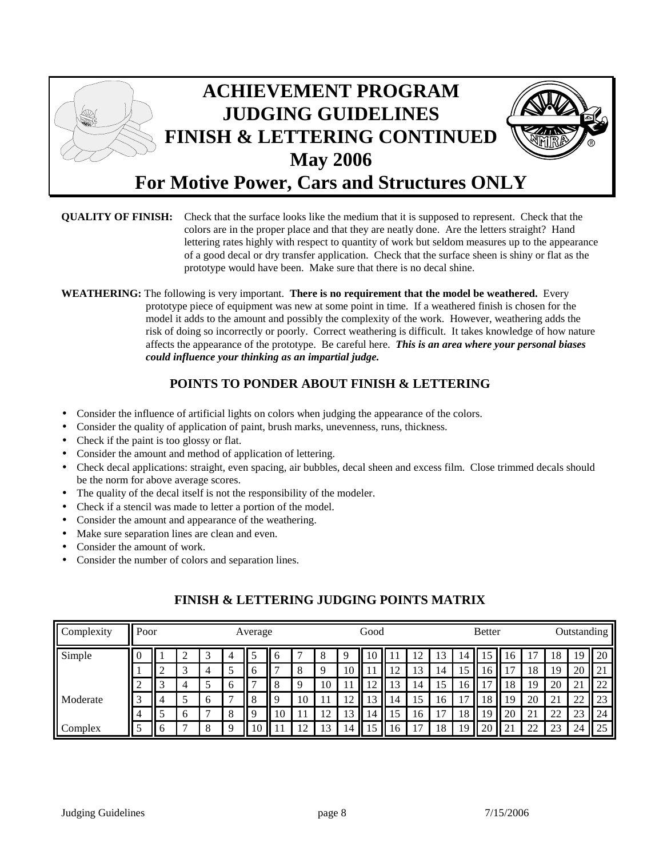

#### **QUALITY OF FINISH:** Check that the surface looks like the medium that it is supposed to represent. Check that the colors are in the proper place and that they are neatly done. Are the letters straight? Hand lettering rates highly with respect to quantity of work but seldom measures up to the appearance of a good decal or dry transfer application. Check that the surface sheen is shiny or flat as the prototype would have been. Make sure that there is no decal shine.

**WEATHERING:** The following is very important. **There is no requirement that the model be weathered.** Every prototype piece of equipment was new at some point in time. If a weathered finish is chosen for the model it adds to the amount and possibly the complexity of the work. However, weathering adds the risk of doing so incorrectly or poorly. Correct weathering is difficult. It takes knowledge of how nature affects the appearance of the prototype. Be careful here. *This is an area where your personal biases could influence your thinking as an impartial judge.* 

# **POINTS TO PONDER ABOUT FINISH & LETTERING**

- Consider the influence of artificial lights on colors when judging the appearance of the colors.
- Consider the quality of application of paint, brush marks, unevenness, runs, thickness.
- Check if the paint is too glossy or flat.
- Consider the amount and method of application of lettering.
- Check decal applications: straight, even spacing, air bubbles, decal sheen and excess film. Close trimmed decals should be the norm for above average scores.
- The quality of the decal itself is not the responsibility of the modeler.
- Check if a stencil was made to letter a portion of the model.
- Consider the amount and appearance of the weathering.
- Make sure separation lines are clean and even.
- Consider the amount of work.
- Consider the number of colors and separation lines.

| Complexity | Poor         |              |   |    |   | Average     |    |    |    |    | Good |    |    |    |    | <b>Better</b> |    |                     | Outstanding    |    |                                |
|------------|--------------|--------------|---|----|---|-------------|----|----|----|----|------|----|----|----|----|---------------|----|---------------------|----------------|----|--------------------------------|
| Simple     | U            |              |   |    | 4 |             | n  |    |    |    | 10   |    | 12 | 3  | 14 |               | 10 |                     | 18             | 19 | 20                             |
|            |              |              |   | 4  |   | $\mathbf b$ |    | 8  | Q  | 10 | 11   | ി  | 13 | 14 | 15 | 16            |    | 18                  | 19             | 20 | ∼                              |
|            | ◠<br>∠       |              | 4 |    | b |             |    |    | 10 |    | 12   | 13 | 14 | د، | 16 |               | 18 | 19                  | 20             | 21 | ാറ<br>$\overline{\phantom{a}}$ |
| Moderate   | $\sim$<br>ä. |              |   | -6 |   |             |    | 10 |    | ∸  | 13   | 14 | 15 | 16 | 17 | 18            | 19 | 20                  | 2 <sub>1</sub> | 22 | $\cap$<br>23                   |
|            | 4            |              | h |    | 8 |             | 10 |    | 12 | 13 | 14   | 15 | 16 |    | 18 | 19            | 20 | 21                  | 22             | 23 | 24                             |
| Complex    |              | <sup>t</sup> |   | 8  | Q | 10          | -1 | ∣າ | 13 | 14 | 15   | 16 | ┑  | 18 | 19 | 20            | 21 | $\mathcal{D}$<br>∠∠ | 23             | 24 | 25                             |

## **FINISH & LETTERING JUDGING POINTS MATRIX**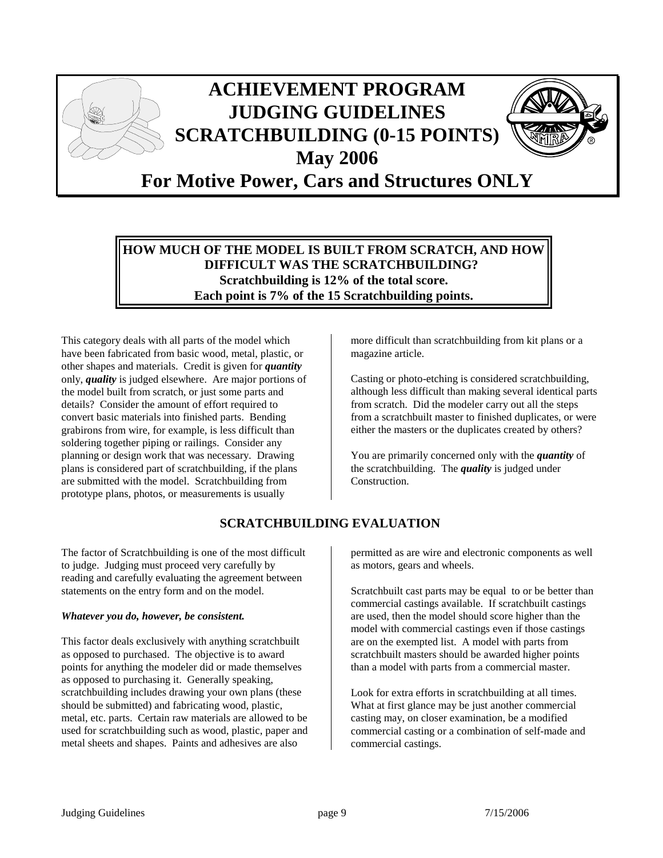

#### **HOW MUCH OF THE MODEL IS BUILT FROM SCRATCH, AND HOW DIFFICULT WAS THE SCRATCHBUILDING? Scratchbuilding is 12% of the total score. Each point is 7% of the 15 Scratchbuilding points.**

This category deals with all parts of the model which have been fabricated from basic wood, metal, plastic, or other shapes and materials. Credit is given for *quantity* only, *quality* is judged elsewhere. Are major portions of the model built from scratch, or just some parts and details? Consider the amount of effort required to convert basic materials into finished parts. Bending grabirons from wire, for example, is less difficult than soldering together piping or railings. Consider any planning or design work that was necessary. Drawing plans is considered part of scratchbuilding, if the plans are submitted with the model. Scratchbuilding from prototype plans, photos, or measurements is usually

**SCRATCHBUILDING EVALUATION** 

The factor of Scratchbuilding is one of the most difficult to judge. Judging must proceed very carefully by reading and carefully evaluating the agreement between statements on the entry form and on the model.

#### *Whatever you do, however, be consistent.*

This factor deals exclusively with anything scratchbuilt as opposed to purchased. The objective is to award points for anything the modeler did or made themselves as opposed to purchasing it. Generally speaking, scratchbuilding includes drawing your own plans (these should be submitted) and fabricating wood, plastic, metal, etc. parts. Certain raw materials are allowed to be used for scratchbuilding such as wood, plastic, paper and metal sheets and shapes. Paints and adhesives are also

more difficult than scratchbuilding from kit plans or a magazine article.

Casting or photo-etching is considered scratchbuilding, although less difficult than making several identical parts from scratch. Did the modeler carry out all the steps from a scratchbuilt master to finished duplicates, or were either the masters or the duplicates created by others?

You are primarily concerned only with the *quantity* of the scratchbuilding. The *quality* is judged under Construction.

permitted as are wire and electronic components as well as motors, gears and wheels.

Scratchbuilt cast parts may be equal to or be better than commercial castings available. If scratchbuilt castings are used, then the model should score higher than the model with commercial castings even if those castings are on the exempted list. A model with parts from scratchbuilt masters should be awarded higher points than a model with parts from a commercial master.

Look for extra efforts in scratchbuilding at all times. What at first glance may be just another commercial casting may, on closer examination, be a modified commercial casting or a combination of self-made and commercial castings.